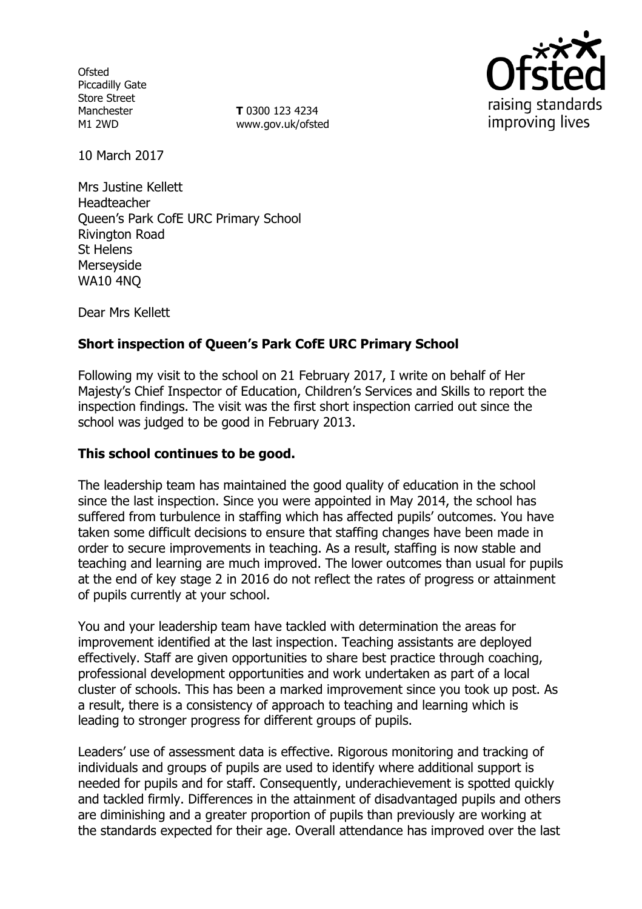**Ofsted** Piccadilly Gate Store Street Manchester M1 2WD

**T** 0300 123 4234 www.gov.uk/ofsted



10 March 2017

Mrs Justine Kellett Headteacher Queen's Park CofE URC Primary School Rivington Road St Helens Merseyside WA10 4NQ

Dear Mrs Kellett

# **Short inspection of Queen's Park CofE URC Primary School**

Following my visit to the school on 21 February 2017, I write on behalf of Her Majesty's Chief Inspector of Education, Children's Services and Skills to report the inspection findings. The visit was the first short inspection carried out since the school was judged to be good in February 2013.

#### **This school continues to be good.**

The leadership team has maintained the good quality of education in the school since the last inspection. Since you were appointed in May 2014, the school has suffered from turbulence in staffing which has affected pupils' outcomes. You have taken some difficult decisions to ensure that staffing changes have been made in order to secure improvements in teaching. As a result, staffing is now stable and teaching and learning are much improved. The lower outcomes than usual for pupils at the end of key stage 2 in 2016 do not reflect the rates of progress or attainment of pupils currently at your school.

You and your leadership team have tackled with determination the areas for improvement identified at the last inspection. Teaching assistants are deployed effectively. Staff are given opportunities to share best practice through coaching, professional development opportunities and work undertaken as part of a local cluster of schools. This has been a marked improvement since you took up post. As a result, there is a consistency of approach to teaching and learning which is leading to stronger progress for different groups of pupils.

Leaders' use of assessment data is effective. Rigorous monitoring and tracking of individuals and groups of pupils are used to identify where additional support is needed for pupils and for staff. Consequently, underachievement is spotted quickly and tackled firmly. Differences in the attainment of disadvantaged pupils and others are diminishing and a greater proportion of pupils than previously are working at the standards expected for their age. Overall attendance has improved over the last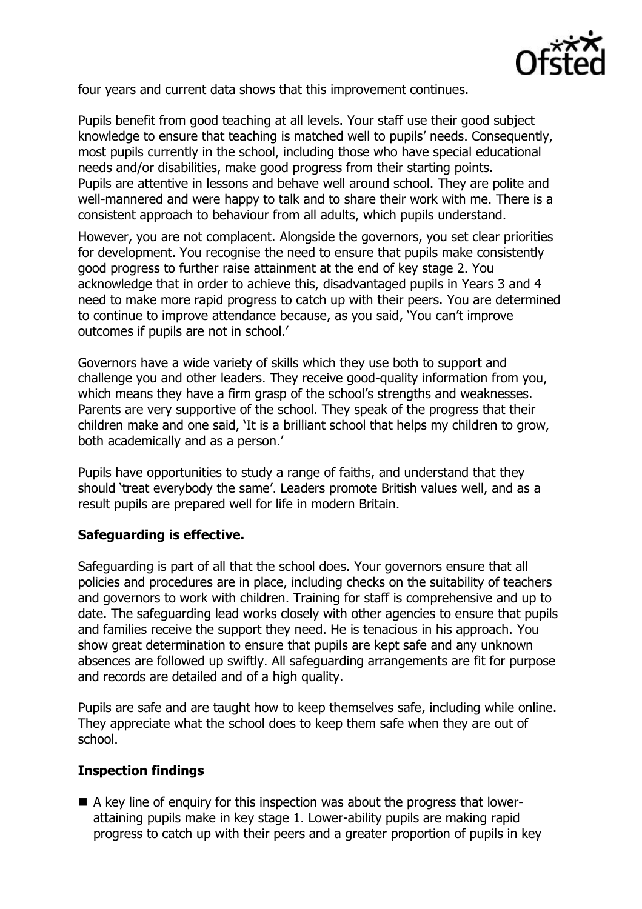

four years and current data shows that this improvement continues.

Pupils benefit from good teaching at all levels. Your staff use their good subject knowledge to ensure that teaching is matched well to pupils' needs. Consequently, most pupils currently in the school, including those who have special educational needs and/or disabilities, make good progress from their starting points. Pupils are attentive in lessons and behave well around school. They are polite and well-mannered and were happy to talk and to share their work with me. There is a consistent approach to behaviour from all adults, which pupils understand.

However, you are not complacent. Alongside the governors, you set clear priorities for development. You recognise the need to ensure that pupils make consistently good progress to further raise attainment at the end of key stage 2. You acknowledge that in order to achieve this, disadvantaged pupils in Years 3 and 4 need to make more rapid progress to catch up with their peers. You are determined to continue to improve attendance because, as you said, 'You can't improve outcomes if pupils are not in school.'

Governors have a wide variety of skills which they use both to support and challenge you and other leaders. They receive good-quality information from you, which means they have a firm grasp of the school's strengths and weaknesses. Parents are very supportive of the school. They speak of the progress that their children make and one said, 'It is a brilliant school that helps my children to grow, both academically and as a person.'

Pupils have opportunities to study a range of faiths, and understand that they should 'treat everybody the same'. Leaders promote British values well, and as a result pupils are prepared well for life in modern Britain.

#### **Safeguarding is effective.**

Safeguarding is part of all that the school does. Your governors ensure that all policies and procedures are in place, including checks on the suitability of teachers and governors to work with children. Training for staff is comprehensive and up to date. The safeguarding lead works closely with other agencies to ensure that pupils and families receive the support they need. He is tenacious in his approach. You show great determination to ensure that pupils are kept safe and any unknown absences are followed up swiftly. All safeguarding arrangements are fit for purpose and records are detailed and of a high quality.

Pupils are safe and are taught how to keep themselves safe, including while online. They appreciate what the school does to keep them safe when they are out of school.

## **Inspection findings**

 A key line of enquiry for this inspection was about the progress that lowerattaining pupils make in key stage 1. Lower-ability pupils are making rapid progress to catch up with their peers and a greater proportion of pupils in key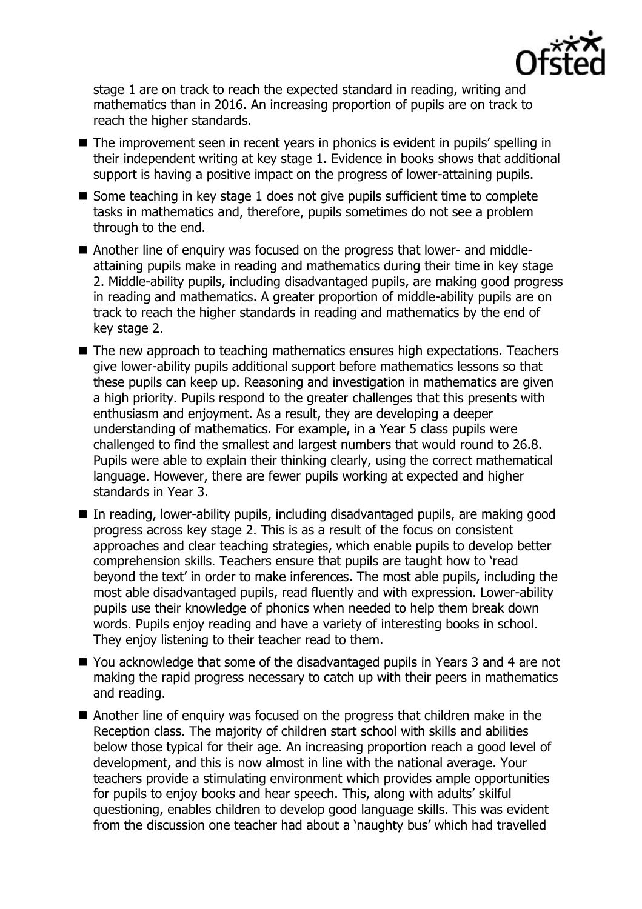

stage 1 are on track to reach the expected standard in reading, writing and mathematics than in 2016. An increasing proportion of pupils are on track to reach the higher standards.

- The improvement seen in recent years in phonics is evident in pupils' spelling in their independent writing at key stage 1. Evidence in books shows that additional support is having a positive impact on the progress of lower-attaining pupils.
- Some teaching in key stage 1 does not give pupils sufficient time to complete tasks in mathematics and, therefore, pupils sometimes do not see a problem through to the end.
- Another line of enquiry was focused on the progress that lower- and middleattaining pupils make in reading and mathematics during their time in key stage 2. Middle-ability pupils, including disadvantaged pupils, are making good progress in reading and mathematics. A greater proportion of middle-ability pupils are on track to reach the higher standards in reading and mathematics by the end of key stage 2.
- The new approach to teaching mathematics ensures high expectations. Teachers give lower-ability pupils additional support before mathematics lessons so that these pupils can keep up. Reasoning and investigation in mathematics are given a high priority. Pupils respond to the greater challenges that this presents with enthusiasm and enjoyment. As a result, they are developing a deeper understanding of mathematics. For example, in a Year 5 class pupils were challenged to find the smallest and largest numbers that would round to 26.8. Pupils were able to explain their thinking clearly, using the correct mathematical language. However, there are fewer pupils working at expected and higher standards in Year 3.
- In reading, lower-ability pupils, including disadvantaged pupils, are making good progress across key stage 2. This is as a result of the focus on consistent approaches and clear teaching strategies, which enable pupils to develop better comprehension skills. Teachers ensure that pupils are taught how to 'read beyond the text' in order to make inferences. The most able pupils, including the most able disadvantaged pupils, read fluently and with expression. Lower-ability pupils use their knowledge of phonics when needed to help them break down words. Pupils enjoy reading and have a variety of interesting books in school. They enjoy listening to their teacher read to them.
- You acknowledge that some of the disadvantaged pupils in Years 3 and 4 are not making the rapid progress necessary to catch up with their peers in mathematics and reading.
- Another line of enquiry was focused on the progress that children make in the Reception class. The majority of children start school with skills and abilities below those typical for their age. An increasing proportion reach a good level of development, and this is now almost in line with the national average. Your teachers provide a stimulating environment which provides ample opportunities for pupils to enjoy books and hear speech. This, along with adults' skilful questioning, enables children to develop good language skills. This was evident from the discussion one teacher had about a 'naughty bus' which had travelled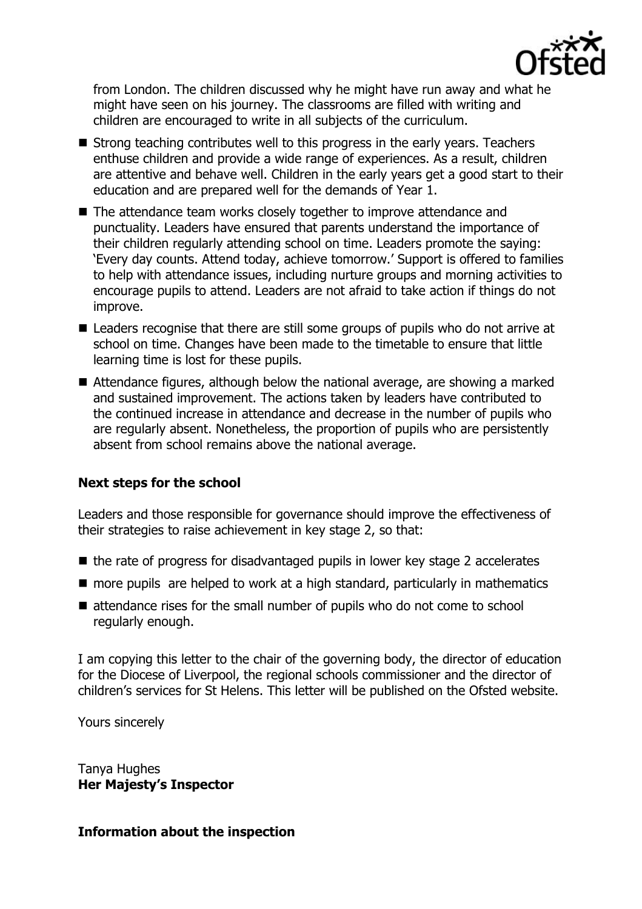

from London. The children discussed why he might have run away and what he might have seen on his journey. The classrooms are filled with writing and children are encouraged to write in all subjects of the curriculum.

- $\blacksquare$  Strong teaching contributes well to this progress in the early years. Teachers enthuse children and provide a wide range of experiences. As a result, children are attentive and behave well. Children in the early years get a good start to their education and are prepared well for the demands of Year 1.
- The attendance team works closely together to improve attendance and punctuality. Leaders have ensured that parents understand the importance of their children regularly attending school on time. Leaders promote the saying: 'Every day counts. Attend today, achieve tomorrow.' Support is offered to families to help with attendance issues, including nurture groups and morning activities to encourage pupils to attend. Leaders are not afraid to take action if things do not improve.
- Leaders recognise that there are still some groups of pupils who do not arrive at school on time. Changes have been made to the timetable to ensure that little learning time is lost for these pupils.
- Attendance figures, although below the national average, are showing a marked and sustained improvement. The actions taken by leaders have contributed to the continued increase in attendance and decrease in the number of pupils who are regularly absent. Nonetheless, the proportion of pupils who are persistently absent from school remains above the national average.

## **Next steps for the school**

Leaders and those responsible for governance should improve the effectiveness of their strategies to raise achievement in key stage 2, so that:

- the rate of progress for disadvantaged pupils in lower key stage 2 accelerates
- **n** more pupils are helped to work at a high standard, particularly in mathematics
- attendance rises for the small number of pupils who do not come to school regularly enough.

I am copying this letter to the chair of the governing body, the director of education for the Diocese of Liverpool, the regional schools commissioner and the director of children's services for St Helens. This letter will be published on the Ofsted website.

Yours sincerely

Tanya Hughes **Her Majesty's Inspector**

## **Information about the inspection**